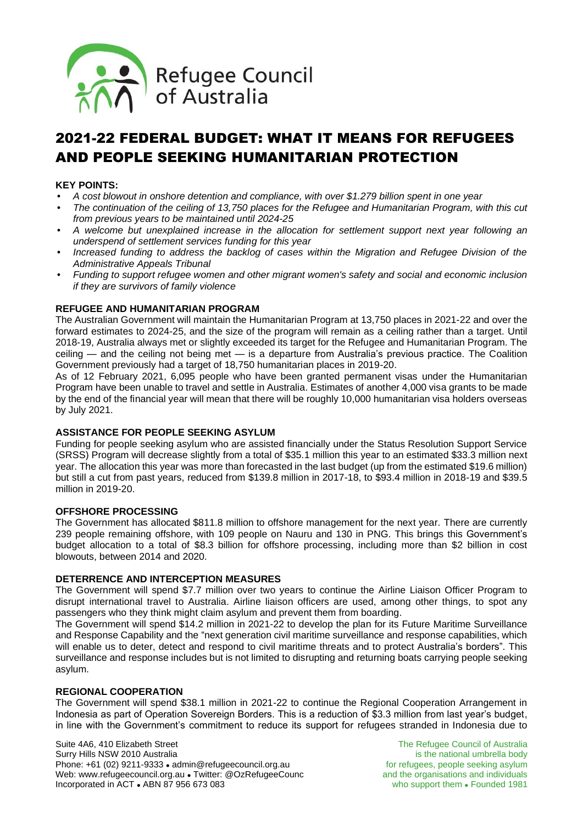

# 2021-22 FEDERAL BUDGET: WHAT IT MEANS FOR REFUGEES AND PEOPLE SEEKING HUMANITARIAN PROTECTION

## **KEY POINTS:**

- *A cost blowout in onshore detention and compliance, with over \$1.279 billion spent in one year*
- *The continuation of the ceiling of 13,750 places for the Refugee and Humanitarian Program, with this cut from previous years to be maintained until 2024-25*
- *A welcome but unexplained increase in the allocation for settlement support next year following an underspend of settlement services funding for this year*
- *Increased funding to address the backlog of cases within the Migration and Refugee Division of the Administrative Appeals Tribunal*
- *Funding to support refugee women and other migrant women's safety and social and economic inclusion if they are survivors of family violence*

#### **REFUGEE AND HUMANITARIAN PROGRAM**

The Australian Government will maintain the Humanitarian Program at 13,750 places in 2021-22 and over the forward estimates to 2024-25, and the size of the program will remain as a ceiling rather than a target. Until 2018-19, Australia always met or slightly exceeded its target for the Refugee and Humanitarian Program. The ceiling — and the ceiling not being met — is a departure from Australia's previous practice. The Coalition Government previously had a target of 18,750 humanitarian places in 2019-20.

As of 12 February 2021, 6,095 people who have been granted permanent visas under the Humanitarian Program have been unable to travel and settle in Australia. Estimates of another 4,000 visa grants to be made by the end of the financial year will mean that there will be roughly 10,000 humanitarian visa holders overseas by July 2021.

#### **ASSISTANCE FOR PEOPLE SEEKING ASYLUM**

Funding for people seeking asylum who are assisted financially under the Status Resolution Support Service (SRSS) Program will decrease slightly from a total of \$35.1 million this year to an estimated \$33.3 million next year. The allocation this year was more than forecasted in the last budget (up from the estimated \$19.6 million) but still a cut from past years, reduced from \$139.8 million in 2017-18, to \$93.4 million in 2018-19 and \$39.5 million in 2019-20.

#### **OFFSHORE PROCESSING**

The Government has allocated \$811.8 million to offshore management for the next year. There are currently 239 people remaining offshore, with 109 people on Nauru and 130 in PNG. This brings this Government's budget allocation to a total of \$8.3 billion for offshore processing, including more than \$2 billion in cost blowouts, between 2014 and 2020.

#### **DETERRENCE AND INTERCEPTION MEASURES**

The Government will spend \$7.7 million over two years to continue the Airline Liaison Officer Program to disrupt international travel to Australia. Airline liaison officers are used, among other things, to spot any passengers who they think might claim asylum and prevent them from boarding.

The Government will spend \$14.2 million in 2021-22 to develop the plan for its Future Maritime Surveillance and Response Capability and the "next generation civil maritime surveillance and response capabilities, which will enable us to deter, detect and respond to civil maritime threats and to protect Australia's borders". This surveillance and response includes but is not limited to disrupting and returning boats carrying people seeking asylum.

#### **REGIONAL COOPERATION**

The Government will spend \$38.1 million in 2021-22 to continue the Regional Cooperation Arrangement in Indonesia as part of Operation Sovereign Borders. This is a reduction of \$3.3 million from last year's budget, in line with the Government's commitment to reduce its support for refugees stranded in Indonesia due to

Suite 4A6, 410 Elizabeth Street The Refugee Council of Australia<br>
Surry Hills NSW 2010 Australia<br>
is the national umbrella body Surry Hills NSW 2010 Australia<br>
Phone: +61 (02) 9211-9333 • admin@refugeecouncil.org.au **is the national umbrella body**<br>
for refugees, people seeking asylum Phone: +61 (02) 9211-9333 · admin@refugeecouncil.org.au Web: www.refugeecouncil.org.au • Twitter: @OzRefugeeCounc and the organisations and individuals Incorporated in ACT • ABN 87 956 673 083 who support them • Founded 1981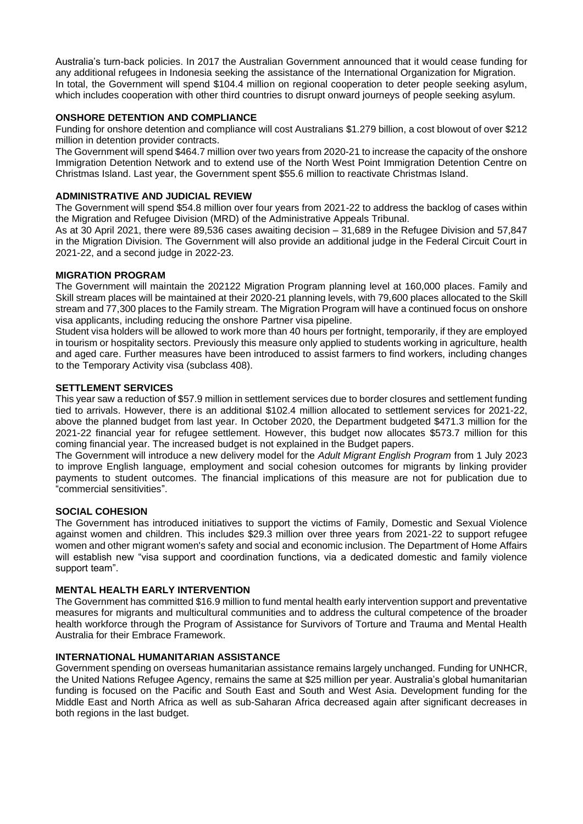Australia's turn-back policies. In 2017 the Australian Government announced that it would cease funding for any additional refugees in Indonesia seeking the assistance of the International Organization for Migration. In total, the Government will spend \$104.4 million on regional cooperation to deter people seeking asylum, which includes cooperation with other third countries to disrupt onward journeys of people seeking asylum.

## **ONSHORE DETENTION AND COMPLIANCE**

Funding for onshore detention and compliance will cost Australians \$1.279 billion, a cost blowout of over \$212 million in detention provider contracts.

The Government will spend \$464.7 million over two years from 2020-21 to increase the capacity of the onshore Immigration Detention Network and to extend use of the North West Point Immigration Detention Centre on Christmas Island. Last year, the Government spent \$55.6 million to reactivate Christmas Island.

## **ADMINISTRATIVE AND JUDICIAL REVIEW**

The Government will spend \$54.8 million over four years from 2021-22 to address the backlog of cases within the Migration and Refugee Division (MRD) of the Administrative Appeals Tribunal.

As at 30 April 2021, there were 89,536 cases awaiting decision – 31,689 in the Refugee Division and 57,847 in the Migration Division. The Government will also provide an additional judge in the Federal Circuit Court in 2021-22, and a second judge in 2022-23.

#### **MIGRATION PROGRAM**

The Government will maintain the 202122 Migration Program planning level at 160,000 places. Family and Skill stream places will be maintained at their 2020-21 planning levels, with 79,600 places allocated to the Skill stream and 77,300 places to the Family stream. The Migration Program will have a continued focus on onshore visa applicants, including reducing the onshore Partner visa pipeline.

Student visa holders will be allowed to work more than 40 hours per fortnight, temporarily, if they are employed in tourism or hospitality sectors. Previously this measure only applied to students working in agriculture, health and aged care. Further measures have been introduced to assist farmers to find workers, including changes to the Temporary Activity visa (subclass 408).

#### **SETTLEMENT SERVICES**

This year saw a reduction of \$57.9 million in settlement services due to border closures and settlement funding tied to arrivals. However, there is an additional \$102.4 million allocated to settlement services for 2021-22, above the planned budget from last year. In October 2020, the Department budgeted \$471.3 million for the 2021-22 financial year for refugee settlement. However, this budget now allocates \$573.7 million for this coming financial year. The increased budget is not explained in the Budget papers.

The Government will introduce a new delivery model for the *Adult Migrant English Program* from 1 July 2023 to improve English language, employment and social cohesion outcomes for migrants by linking provider payments to student outcomes. The financial implications of this measure are not for publication due to "commercial sensitivities".

## **SOCIAL COHESION**

The Government has introduced initiatives to support the victims of Family, Domestic and Sexual Violence against women and children. This includes \$29.3 million over three years from 2021‑22 to support refugee women and other migrant women's safety and social and economic inclusion. The Department of Home Affairs will establish new "visa support and coordination functions, via a dedicated domestic and family violence support team".

#### **MENTAL HEALTH EARLY INTERVENTION**

The Government has committed \$16.9 million to fund mental health early intervention support and preventative measures for migrants and multicultural communities and to address the cultural competence of the broader health workforce through the Program of Assistance for Survivors of Torture and Trauma and Mental Health Australia for their Embrace Framework.

#### **INTERNATIONAL HUMANITARIAN ASSISTANCE**

Government spending on overseas humanitarian assistance remains largely unchanged. Funding for UNHCR, the United Nations Refugee Agency, remains the same at \$25 million per year. Australia's global humanitarian funding is focused on the Pacific and South East and South and West Asia. Development funding for the Middle East and North Africa as well as sub-Saharan Africa decreased again after significant decreases in both regions in the last budget.